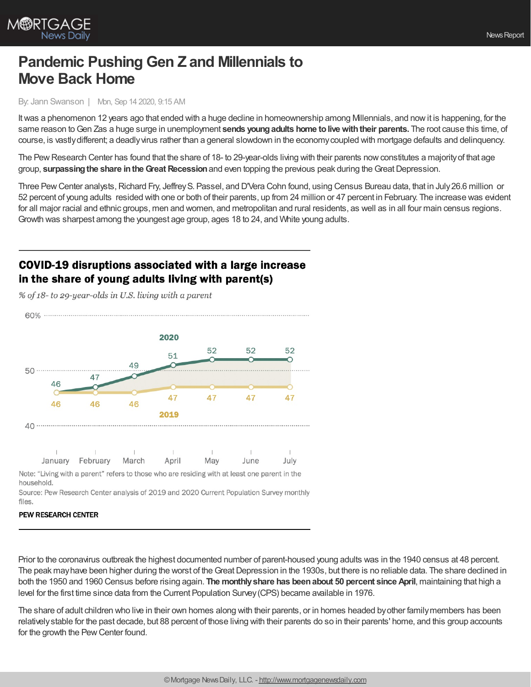

# **Pandemic Pushing Gen Z and Millennials to Move Back Home**

### By: Jann Swanson | Mon, Sep 14 2020, 9:15 AM

Itwas a phenomenon 12 years ago that ended with a huge decline in homeownership among Millennials, and nowit is happening, for the same reason toGen Zas a huge surge in unemployment **sends youngadults home tolivewiththeir parents.** The root cause this time, of course, is vastlydifferent; a deadlyvirus rather than a general slowdown in the economycoupled with mortgage defaults and delinquency.

The Pew Research Center has found that the share of 18- to 29-year-olds living with their parents now constitutes a majority of that age group, **surpassing the share in the Great Recession** and even topping the previous peak during the Great Depression.

Three Pew Center analysts, Richard Fry, Jeffrey S. Passel, and D'Vera Cohn found, using Census Bureau data, that in July 26.6 million or 52 percent of young adults resided with one or both of their parents, up from 24 million or 47 percent in February. The increase was evident for all major racial and ethnic groups, men and women, and metropolitan and rural residents, as well as in all four main census regions. Growth was sharpest among the youngest age group, ages 18 to 24, and White young adults.

# COVID-19 disruptions associated with a large increase in the share of young adults living with parent(s)

% of 18- to 29-year-olds in U.S. living with a parent

60% ............................ 2020 52 52 52 51 ∩ 49 47 46  $\Omega$ 47 47 47  $\overline{47}$ 46 46 46 2019  $40$  ..........  $\pm$  $\mathbb{I}$  $\top$  $\mathbb{L}$  $\mathbb{R}^2$  $\mathbb{R}$  $\mathbf{1}$ January February March April May June July Note: "Living with a parent" refers to those who are residing with at least one parent in the household.

Source: Pew Research Center analysis of 2019 and 2020 Current Population Survey monthly files.

### **PEW RESEARCH CENTER**

Prior to the coronavirus outbreak the highest documented number of parent-housed young adults was in the 1940 census at 48 percent. The peak may have been higher during the worst of the Great Depression in the 1930s, but there is no reliable data. The share declined in both the 1950 and 1960 Census before rising again. **The monthlyshare has beenabout 50 percent since April**, maintaining that high a level for the first time since data from the Current Population Survey(CPS) became available in 1976.

The share of adult children who live in their own homes along with their parents, or in homes headed byother familymembers has been relativelystable for the past decade, but 88 percent of those living with their parents do so in their parents' home, and this group accounts for the growth the Pew Center found.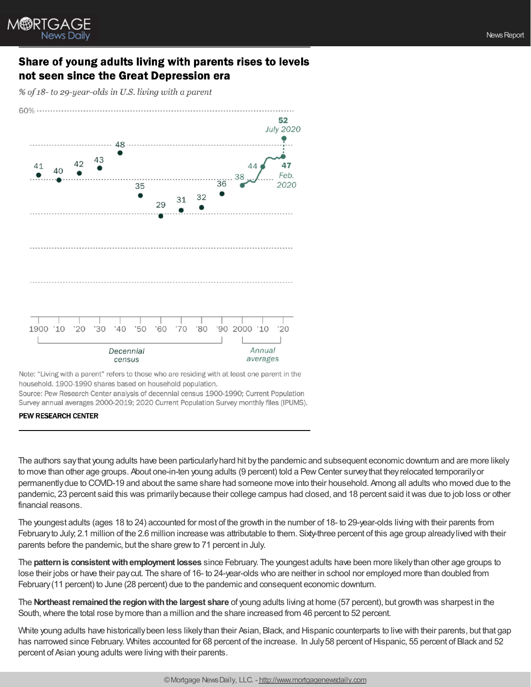

### Share of young adults living with parents rises to levels not seen since the Great Depression era

% of 18- to 29-year-olds in U.S. living with a parent



Note: "Living with a parent" refers to those who are residing with at least one parent in the household. 1900-1990 shares based on household population. Source: Pew Research Center analysis of decennial census 1900-1990; Current Population Survey annual averages 2000-2019; 2020 Current Population Survey monthly files (IPUMS).

### **PEW RESEARCH CENTER**

The authors saythat young adults have been particularlyhard hit bythe pandemic and subsequent economic downturn and are more likely to move than other age groups. About one-in-ten young adults (9 percent) told a PewCenter surveythat theyrelocated temporarilyor permanentlydue to COVID-19 and about the same share had someone move into their household. Among all adults who moved due to the pandemic, 23 percent said this was primarilybecause their college campus had closed, and 18 percent said itwas due to job loss or other financial reasons.

The youngest adults (ages 18 to 24) accounted for most of the growth in the number of 18- to 29-year-olds living with their parents from Februaryto July; 2.1 million of the 2.6 million increase was attributable to them. Sixty-three percent of this age group alreadylived with their parents before the pandemic, but the share grew to 71 percent in July.

The **patternis consistentwithemployment losses** since February. The youngest adults have been more likelythan other age groups to lose their jobs or have their paycut. The share of 16- to 24-year-olds who are neither in school nor employed more than doubled from February(11 percent) to June (28 percent) due to the pandemic and consequent economic downturn.

The **Northeast remained the region with the largest share** of young adults living at home (57 percent), but growth was sharpest in the South, where the total rose by more than a million and the share increased from 46 percent to 52 percent.

White young adults have historically been less likely than their Asian, Black, and Hispanic counterparts to live with their parents, but that gap has narrowed since February. Whites accounted for 68 percent of the increase. In July 58 percent of Hispanic, 55 percent of Black and 52 percent of Asian young adults were living with their parents.